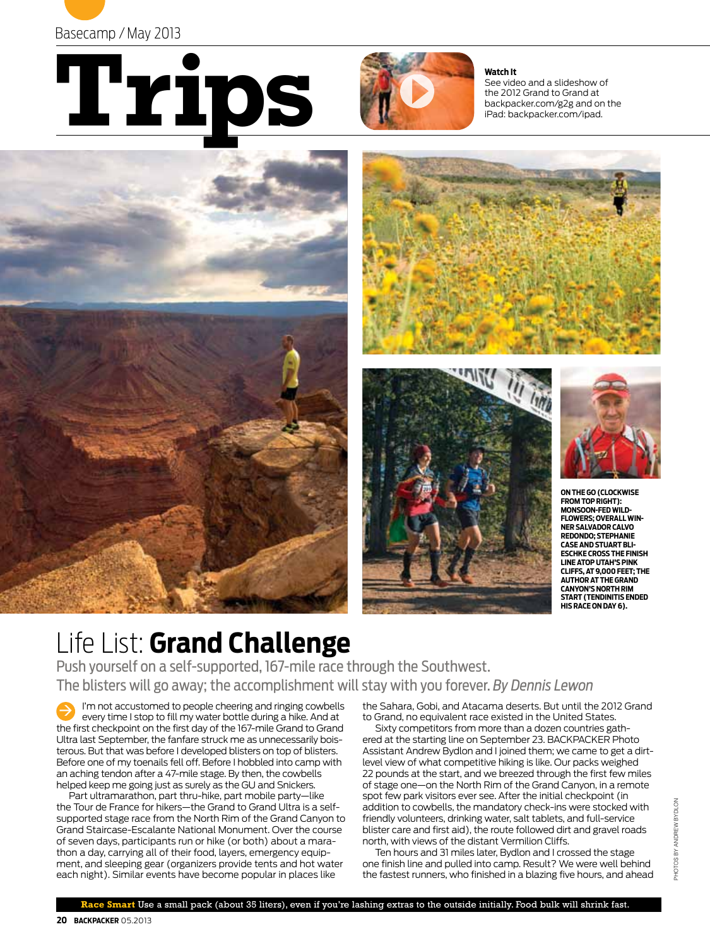





**Watch It** See video and a slideshow of the 2012 Grand to Grand at backpacker.com/g2g and on the iPad: backpacker.com/ipad.









**on the go (clockwise from top right): monsoon-fed wildflowers; overall winner Salvador Calvo Redondo; stephanie caseand stuart blieschke cross the finish lineatop utah's pink cliffs, at 9,000 feet; the AUTHOR AT THE GRAND canyon's north rim start (tendinitis ended his race on day 6).** 

# Life List: **Grand Challenge**

Push yourself on a self-supported, 167-mile race through the Southwest. The blisters will go away; the accomplishment will stay with you forever. *By Dennis Lewon*

I'm not accustomed to people cheering and ringing cowbells every time I stop to fill my water bottle during a hike. And at the first checkpoint on the first day of the 167-mile Grand to Grand Ultra last September, the fanfare struck me as unnecessarily boisterous. But that was before I developed blisters on top of blisters. Before one of my toenails fell off. Before I hobbled into camp with an aching tendon after a 47-mile stage. By then, the cowbells helped keep me going just as surely as the GU and Snickers.  $\Rightarrow$ 

Part ultramarathon, part thru-hike, part mobile party—like the Tour de France for hikers—the Grand to Grand Ultra is a selfsupported stage race from the North Rim of the Grand Canyon to Grand Staircase-Escalante National Monument. Over the course of seven days, participants run or hike (or both) about a marathon a day, carrying all of their food, layers, emergency equipment, and sleeping gear (organizers provide tents and hot water each night). Similar events have become popular in places like

the Sahara, Gobi, and Atacama deserts. But until the 2012 Grand to Grand, no equivalent race existed in the United States.

Sixty competitors from more than a dozen countries gathered at the starting line on September 23. BACKPACKER Photo Assistant Andrew Bydlon and I joined them; we came to get a dirtlevel view of what competitive hiking is like. Our packs weighed 22 pounds at the start, and we breezed through the first few miles of stage one—on the North Rim of the Grand Canyon, in a remote spot few park visitors ever see. After the initial checkpoint (in addition to cowbells, the mandatory check-ins were stocked with friendly volunteers, drinking water, salt tablets, and full-service blister care and first aid), the route followed dirt and gravel roads north, with views of the distant Vermilion Cliffs.

Ten hours and 31 miles later, Bydlon and I crossed the stage one finish line and pulled into camp. Result? We were well behind the fastest runners, who finished in a blazing five hours, and ahead